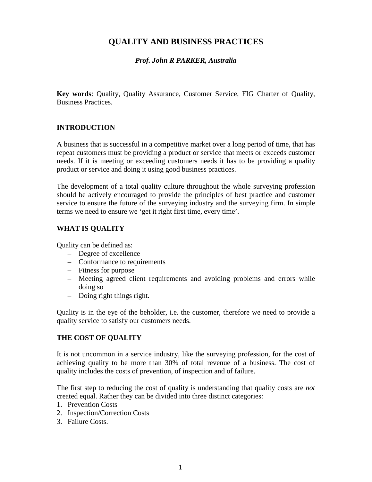# **QUALITY AND BUSINESS PRACTICES**

## *Prof. John R PARKER, Australia*

**Key words**: Quality, Quality Assurance, Customer Service, FIG Charter of Quality, Business Practices.

### **INTRODUCTION**

A business that is successful in a competitive market over a long period of time, that has repeat customers must be providing a product or service that meets or exceeds customer needs. If it is meeting or exceeding customers needs it has to be providing a quality product or service and doing it using good business practices.

The development of a total quality culture throughout the whole surveying profession should be actively encouraged to provide the principles of best practice and customer service to ensure the future of the surveying industry and the surveying firm. In simple terms we need to ensure we 'get it right first time, every time'.

### **WHAT IS QUALITY**

Quality can be defined as:

- Degree of excellence
- Conformance to requirements
- Fitness for purpose
- Meeting agreed client requirements and avoiding problems and errors while doing so
- Doing right things right.

Quality is in the eye of the beholder, i.e. the customer, therefore we need to provide a quality service to satisfy our customers needs.

### **THE COST OF QUALITY**

It is not uncommon in a service industry, like the surveying profession, for the cost of achieving quality to be more than 30% of total revenue of a business. The cost of quality includes the costs of prevention, of inspection and of failure.

The first step to reducing the cost of quality is understanding that quality costs are *not* created equal. Rather they can be divided into three distinct categories:

- 1. Prevention Costs
- 2. Inspection/Correction Costs
- 3. Failure Costs.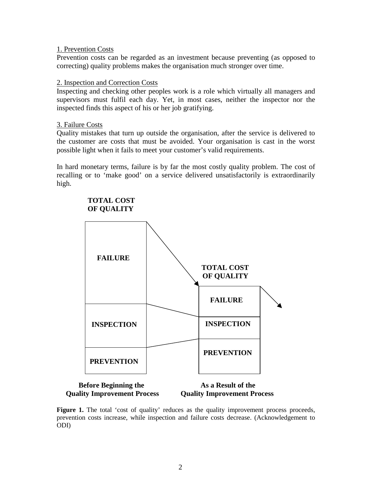#### 1. Prevention Costs

Prevention costs can be regarded as an investment because preventing (as opposed to correcting) quality problems makes the organisation much stronger over time.

#### 2. Inspection and Correction Costs

Inspecting and checking other peoples work is a role which virtually all managers and supervisors must fulfil each day. Yet, in most cases, neither the inspector nor the inspected finds this aspect of his or her job gratifying.

#### 3. Failure Costs

Quality mistakes that turn up outside the organisation, after the service is delivered to the customer are costs that must be avoided. Your organisation is cast in the worst possible light when it fails to meet your customer's valid requirements.

In hard monetary terms, failure is by far the most costly quality problem. The cost of recalling or to 'make good' on a service delivered unsatisfactorily is extraordinarily high.



# **Quality Improvement Process Quality Improvement Process**

**Figure 1.** The total 'cost of quality' reduces as the quality improvement process proceeds, prevention costs increase, while inspection and failure costs decrease. (Acknowledgement to ODI)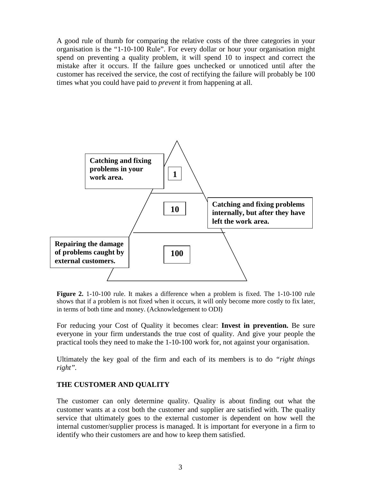A good rule of thumb for comparing the relative costs of the three categories in your organisation is the "1-10-100 Rule". For every dollar or hour your organisation might spend on preventing a quality problem, it will spend 10 to inspect and correct the mistake after it occurs. If the failure goes unchecked or unnoticed until after the customer has received the service, the cost of rectifying the failure will probably be 100 times what you could have paid to *prevent* it from happening at all.



**Figure 2.** 1-10-100 rule. It makes a difference when a problem is fixed. The 1-10-100 rule shows that if a problem is not fixed when it occurs, it will only become more costly to fix later, in terms of both time and money. (Acknowledgement to ODI)

For reducing your Cost of Quality it becomes clear: **Invest in prevention.** Be sure everyone in your firm understands the true cost of quality. And give your people the practical tools they need to make the 1-10-100 work for, not against your organisation.

Ultimately the key goal of the firm and each of its members is to do *"right things right".*

### **THE CUSTOMER AND QUALITY**

The customer can only determine quality. Quality is about finding out what the customer wants at a cost both the customer and supplier are satisfied with. The quality service that ultimately goes to the external customer is dependent on how well the internal customer/supplier process is managed. It is important for everyone in a firm to identify who their customers are and how to keep them satisfied.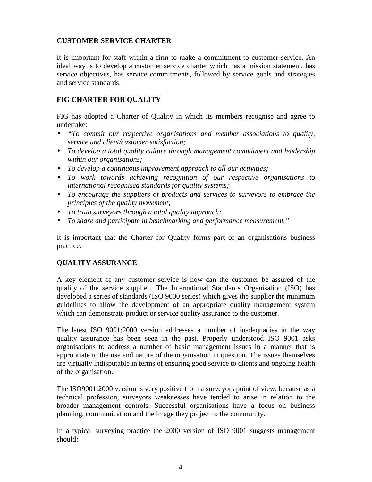## **CUSTOMER SERVICE CHARTER**

It is important for staff within a firm to make a commitment to customer service. An ideal way is to develop a customer service charter which has a mission statement, has service objectives, has service commitments, followed by service goals and strategies and service standards.

# **FIG CHARTER FOR QUALITY**

FIG has adopted a Charter of Quality in which its members recognise and agree to undertake:

- *"To commit our respective organisations and member associations to quality, service and client/customer satisfaction;*
- *To develop a total quality culture through management commitment and leadership within our organisations;*
- *To develop a continuous improvement approach to all our activities;*
- *To work towards achieving recognition of our respective organisations to international recognised standards for quality systems;*
- *To encourage the suppliers of products and services to surveyors to embrace the principles of the quality movement;*
- *To train surveyors through a total quality approach;*
- *To share and participate in benchmarking and performance measurement."*

It is important that the Charter for Quality forms part of an organisations business practice.

## **QUALITY ASSURANCE**

A key element of any customer service is how can the customer be assured of the quality of the service supplied. The International Standards Organisation (ISO) has developed a series of standards (ISO 9000 series) which gives the supplier the minimum guidelines to allow the development of an appropriate quality management system which can demonstrate product or service quality assurance to the customer.

The latest ISO 9001:2000 version addresses a number of inadequacies in the way quality assurance has been seen in the past. Properly understood ISO 9001 asks organisations to address a number of basic management issues in a manner that is appropriate to the use and nature of the organisation in question. The issues themselves are virtually indisputable in terms of ensuring good service to clients and ongoing health of the organisation.

The ISO9001:2000 version is very positive from a surveyors point of view, because as a technical profession, surveyors weaknesses have tended to arise in relation to the broader management controls. Successful organisations have a focus on business planning, communication and the image they project to the community.

In a typical surveying practice the 2000 version of ISO 9001 suggests management should: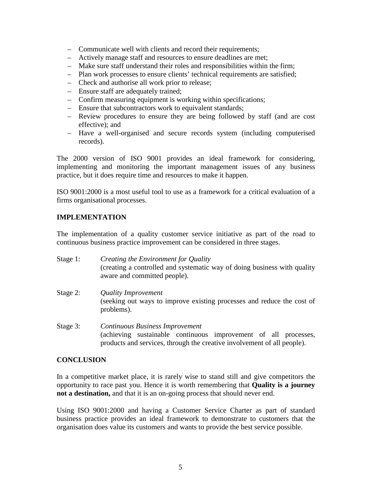- Communicate well with clients and record their requirements;
- Actively manage staff and resources to ensure deadlines are met;
- Make sure staff understand their roles and responsibilities within the firm;
- Plan work processes to ensure clients' technical requirements are satisfied;
- Check and authorise all work prior to release;
- Ensure staff are adequately trained;
- Confirm measuring equipment is working within specifications;
- Ensure that subcontractors work to equivalent standards;
- Review procedures to ensure they are being followed by staff (and are cost effective); and
- Have a well-organised and secure records system (including computerised records).

The 2000 version of ISO 9001 provides an ideal framework for considering, implementing and monitoring the important management issues of any business practice, but it does require time and resources to make it happen.

ISO 9001:2000 is a most useful tool to use as a framework for a critical evaluation of a firms organisational processes.

## **IMPLEMENTATION**

The implementation of a quality customer service initiative as part of the road to continuous business practice improvement can be considered in three stages.

- Stage 1: *Creating the Environment for Quality* (creating a controlled and systematic way of doing business with quality aware and committed people).
- Stage 2: *Quality Improvement* (seeking out ways to improve existing processes and reduce the cost of problems).
- Stage 3: *Continuous Business Improvement* (achieving sustainable continuous improvement of all processes, products and services, through the creative involvement of all people).

### **CONCLUSION**

In a competitive market place, it is rarely wise to stand still and give competitors the opportunity to race past you. Hence it is worth remembering that **Quality is a journey not a destination,** and that it is an on-going process that should never end.

Using ISO 9001:2000 and having a Customer Service Charter as part of standard business practice provides an ideal framework to demonstrate to customers that the organisation does value its customers and wants to provide the best service possible.